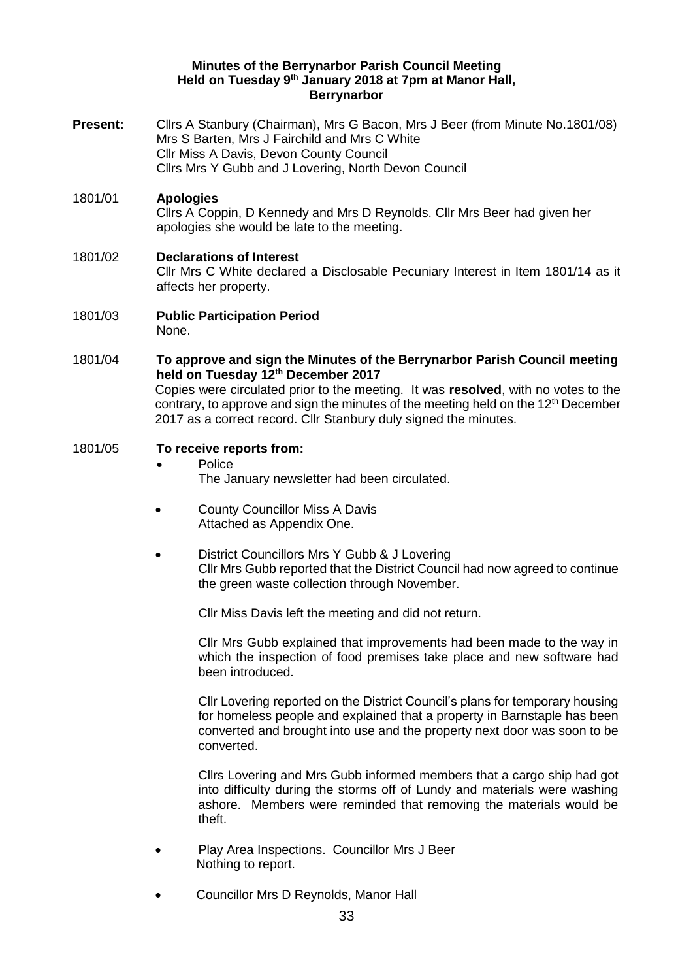#### **Minutes of the Berrynarbor Parish Council Meeting Held on Tuesday 9 th January 2018 at 7pm at Manor Hall, Berrynarbor**

- **Present:** Cllrs A Stanbury (Chairman), Mrs G Bacon, Mrs J Beer (from Minute No.1801/08) Mrs S Barten, Mrs J Fairchild and Mrs C White Cllr Miss A Davis, Devon County Council Cllrs Mrs Y Gubb and J Lovering, North Devon Council
- 1801/01 **Apologies**  Cllrs A Coppin, D Kennedy and Mrs D Reynolds. Cllr Mrs Beer had given her apologies she would be late to the meeting.
- 1801/02 **Declarations of Interest**  Cllr Mrs C White declared a Disclosable Pecuniary Interest in Item 1801/14 as it affects her property.
- 1801/03 **Public Participation Period**  None.
- 1801/04 **To approve and sign the Minutes of the Berrynarbor Parish Council meeting held on Tuesday 12th December 2017** Copies were circulated prior to the meeting. It was **resolved**, with no votes to the contrary, to approve and sign the minutes of the meeting held on the 12<sup>th</sup> December 2017 as a correct record. Cllr Stanbury duly signed the minutes.

## 1801/05 **To receive reports from:**

• Police

The January newsletter had been circulated.

- County Councillor Miss A Davis Attached as Appendix One.
- District Councillors Mrs Y Gubb & J Lovering Cllr Mrs Gubb reported that the District Council had now agreed to continue the green waste collection through November.

Cllr Miss Davis left the meeting and did not return.

Cllr Mrs Gubb explained that improvements had been made to the way in which the inspection of food premises take place and new software had been introduced.

Cllr Lovering reported on the District Council's plans for temporary housing for homeless people and explained that a property in Barnstaple has been converted and brought into use and the property next door was soon to be converted.

Cllrs Lovering and Mrs Gubb informed members that a cargo ship had got into difficulty during the storms off of Lundy and materials were washing ashore. Members were reminded that removing the materials would be theft.

- Play Area Inspections. Councillor Mrs J Beer Nothing to report.
- Councillor Mrs D Reynolds, Manor Hall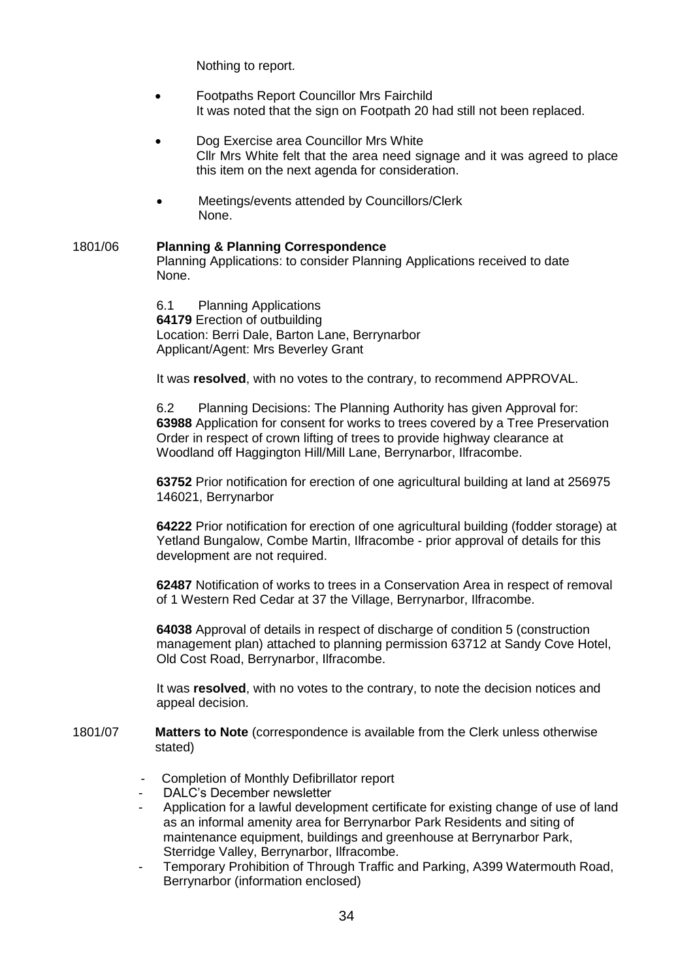Nothing to report.

- Footpaths Report Councillor Mrs Fairchild It was noted that the sign on Footpath 20 had still not been replaced.
- Dog Exercise area Councillor Mrs White Cllr Mrs White felt that the area need signage and it was agreed to place this item on the next agenda for consideration.
- Meetings/events attended by Councillors/Clerk None.
- 1801/06 **Planning & Planning Correspondence**  Planning Applications: to consider Planning Applications received to date None.

6.1 Planning Applications **64179** Erection of outbuilding Location: Berri Dale, Barton Lane, Berrynarbor Applicant/Agent: Mrs Beverley Grant

It was **resolved**, with no votes to the contrary, to recommend APPROVAL.

6.2 Planning Decisions: The Planning Authority has given Approval for: **63988** Application for consent for works to trees covered by a Tree Preservation Order in respect of crown lifting of trees to provide highway clearance at Woodland off Haggington Hill/Mill Lane, Berrynarbor, Ilfracombe.

**63752** Prior notification for erection of one agricultural building at land at 256975 146021, Berrynarbor

**64222** Prior notification for erection of one agricultural building (fodder storage) at Yetland Bungalow, Combe Martin, Ilfracombe - prior approval of details for this development are not required.

**62487** Notification of works to trees in a Conservation Area in respect of removal of 1 Western Red Cedar at 37 the Village, Berrynarbor, Ilfracombe.

**64038** Approval of details in respect of discharge of condition 5 (construction management plan) attached to planning permission 63712 at Sandy Cove Hotel, Old Cost Road, Berrynarbor, Ilfracombe.

It was **resolved**, with no votes to the contrary, to note the decision notices and appeal decision.

- 1801/07 **Matters to Note** (correspondence is available from the Clerk unless otherwise stated)
	- Completion of Monthly Defibrillator report
	- DALC's December newsletter
	- Application for a lawful development certificate for existing change of use of land as an informal amenity area for Berrynarbor Park Residents and siting of maintenance equipment, buildings and greenhouse at Berrynarbor Park, Sterridge Valley, Berrynarbor, Ilfracombe.
	- Temporary Prohibition of Through Traffic and Parking, A399 Watermouth Road, Berrynarbor (information enclosed)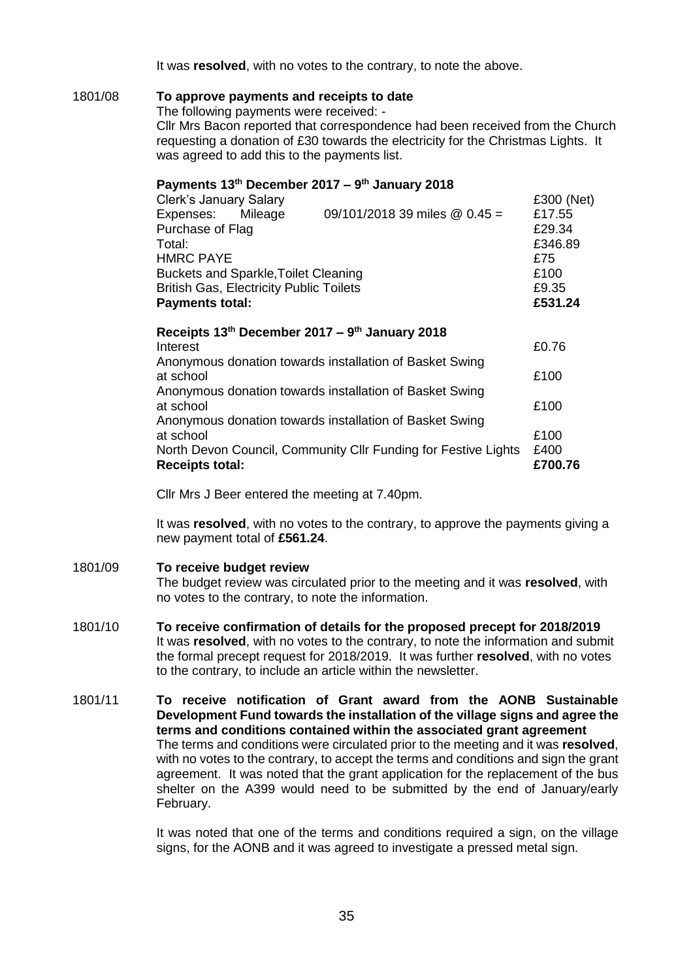It was **resolved**, with no votes to the contrary, to note the above.

### 1801/08 **To approve payments and receipts to date**

The following payments were received: -

Cllr Mrs Bacon reported that correspondence had been received from the Church requesting a donation of £30 towards the electricity for the Christmas Lights. It was agreed to add this to the payments list.

#### **Payments 13th December 2017 – 9 th January 2018**

| <b>Clerk's January Salary</b>                  |  |                                                | £300 (Net) |
|------------------------------------------------|--|------------------------------------------------|------------|
| Expenses: Mileage                              |  | 09/101/2018 39 miles @ $0.45 =$                | £17.55     |
| Purchase of Flag                               |  |                                                | £29.34     |
| Total:                                         |  |                                                | £346.89    |
| <b>HMRC PAYE</b>                               |  |                                                | £75        |
| <b>Buckets and Sparkle, Toilet Cleaning</b>    |  |                                                | £100       |
| <b>British Gas, Electricity Public Toilets</b> |  |                                                | £9.35      |
| <b>Payments total:</b>                         |  |                                                | £531.24    |
|                                                |  | Receipts 13th December 2017 – 9th January 2018 |            |
| Intract                                        |  |                                                | LN 76      |

| <b>Receipts total:</b>                                         | £700.76 |
|----------------------------------------------------------------|---------|
| North Devon Council, Community Cllr Funding for Festive Lights | £400    |
| at school                                                      | £100    |
| Anonymous donation towards installation of Basket Swing        |         |
| at school                                                      | £100    |
| Anonymous donation towards installation of Basket Swing        |         |
| at school                                                      | £100    |
| Anonymous donation towards installation of Basket Swing        |         |
| Interest                                                       | £0.76   |

Cllr Mrs J Beer entered the meeting at 7.40pm.

It was **resolved**, with no votes to the contrary, to approve the payments giving a new payment total of **£561.24**.

#### 1801/09 **To receive budget review**

The budget review was circulated prior to the meeting and it was **resolved**, with no votes to the contrary, to note the information.

- 1801/10 **To receive confirmation of details for the proposed precept for 2018/2019** It was **resolved**, with no votes to the contrary, to note the information and submit the formal precept request for 2018/2019. It was further **resolved**, with no votes to the contrary, to include an article within the newsletter.
- 1801/11 **To receive notification of Grant award from the AONB Sustainable Development Fund towards the installation of the village signs and agree the terms and conditions contained within the associated grant agreement** The terms and conditions were circulated prior to the meeting and it was **resolved**, with no votes to the contrary, to accept the terms and conditions and sign the grant agreement. It was noted that the grant application for the replacement of the bus shelter on the A399 would need to be submitted by the end of January/early February.

It was noted that one of the terms and conditions required a sign, on the village signs, for the AONB and it was agreed to investigate a pressed metal sign.